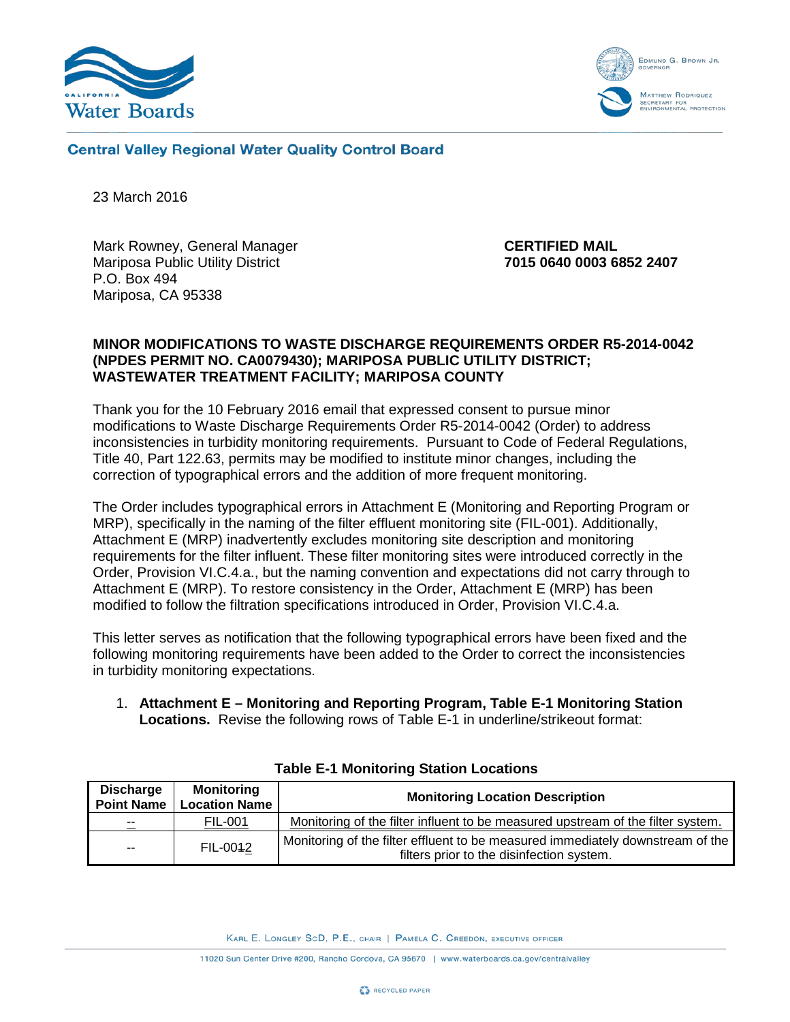



**Central Valley Regional Water Quality Control Board** 

23 March 2016

Mark Rowney, General Manager Mariposa Public Utility District P.O. Box 494 Mariposa, CA 95338

 **CERTIFIED MAIL 7015 0640 0003 6852 2407**

#### **MINOR MODIFICATIONS TO WASTE DISCHARGE REQUIREMENTS ORDER R5-2014-0042 (NPDES PERMIT NO. CA0079430); MARIPOSA PUBLIC UTILITY DISTRICT; WASTEWATER TREATMENT FACILITY; MARIPOSA COUNTY**

Thank you for the 10 February 2016 email that expressed consent to pursue minor modifications to Waste Discharge Requirements Order R5-2014-0042 (Order) to address inconsistencies in turbidity monitoring requirements. Pursuant to Code of Federal Regulations, Title 40, Part 122.63, permits may be modified to institute minor changes, including the correction of typographical errors and the addition of more frequent monitoring.

The Order includes typographical errors in Attachment E (Monitoring and Reporting Program or MRP), specifically in the naming of the filter effluent monitoring site (FIL-001). Additionally, Attachment E (MRP) inadvertently excludes monitoring site description and monitoring requirements for the filter influent. These filter monitoring sites were introduced correctly in the Order, Provision VI.C.4.a., but the naming convention and expectations did not carry through to Attachment E (MRP). To restore consistency in the Order, Attachment E (MRP) has been modified to follow the filtration specifications introduced in Order, Provision VI.C.4.a.

This letter serves as notification that the following typographical errors have been fixed and the following monitoring requirements have been added to the Order to correct the inconsistencies in turbidity monitoring expectations.

1. **Attachment E – Monitoring and Reporting Program, Table E-1 Monitoring Station Locations.** Revise the following rows of Table E-1 in underline/strikeout format:

| <b>Discharge</b><br><b>Point Name</b> | <b>Monitoring</b><br><b>Location Name</b> | <b>Monitoring Location Description</b>                                                                                      |
|---------------------------------------|-------------------------------------------|-----------------------------------------------------------------------------------------------------------------------------|
| $- -$                                 | <b>FIL-001</b>                            | Monitoring of the filter influent to be measured upstream of the filter system.                                             |
| $\sim$ $\sim$                         | FIL-0042                                  | Monitoring of the filter effluent to be measured immediately downstream of the<br>filters prior to the disinfection system. |

|  | <b>Table E-1 Monitoring Station Locations</b> |  |  |
|--|-----------------------------------------------|--|--|
|--|-----------------------------------------------|--|--|

KARL E. LONGLEY SCD, P.E., CHAIR | PAMELA C. CREEDON, EXECUTIVE OFFICER